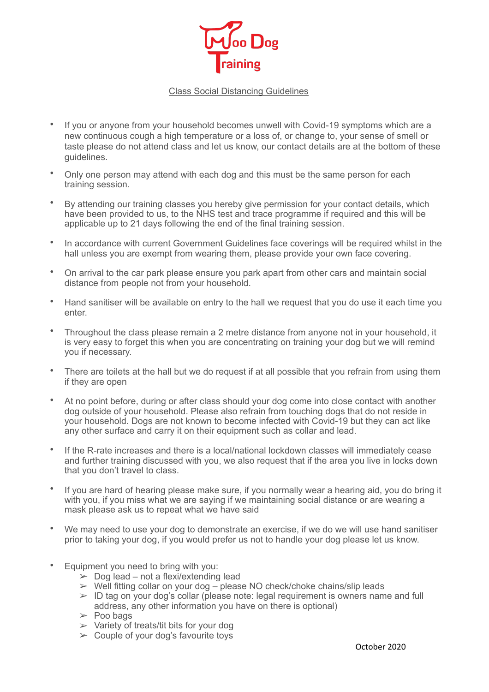

## Class Social Distancing Guidelines

- If you or anyone from your household becomes unwell with Covid-19 symptoms which are a new continuous cough a high temperature or a loss of, or change to, your sense of smell or taste please do not attend class and let us know, our contact details are at the bottom of these guidelines.
- Only one person may attend with each dog and this must be the same person for each training session.
- By attending our training classes you hereby give permission for your contact details, which have been provided to us, to the NHS test and trace programme if required and this will be applicable up to 21 days following the end of the final training session.
- In accordance with current Government Guidelines face coverings will be required whilst in the hall unless you are exempt from wearing them, please provide your own face covering.
- On arrival to the car park please ensure you park apart from other cars and maintain social distance from people not from your household.
- Hand sanitiser will be available on entry to the hall we request that you do use it each time you enter.
- Throughout the class please remain a 2 metre distance from anyone not in your household, it is very easy to forget this when you are concentrating on training your dog but we will remind you if necessary.
- There are toilets at the hall but we do request if at all possible that you refrain from using them if they are open
- At no point before, during or after class should your dog come into close contact with another dog outside of your household. Please also refrain from touching dogs that do not reside in your household. Dogs are not known to become infected with Covid-19 but they can act like any other surface and carry it on their equipment such as collar and lead.
- If the R-rate increases and there is a local/national lockdown classes will immediately cease and further training discussed with you, we also request that if the area you live in locks down that you don't travel to class.
- If you are hard of hearing please make sure, if you normally wear a hearing aid, you do bring it with you, if you miss what we are saying if we maintaining social distance or are wearing a mask please ask us to repeat what we have said
- We may need to use your dog to demonstrate an exercise, if we do we will use hand sanitiser prior to taking your dog, if you would prefer us not to handle your dog please let us know.
- Equipment you need to bring with you:
	- $\geq$  Dog lead not a flexi/extending lead
	- ➢ Well fitting collar on your dog please NO check/choke chains/slip leads
	- $>$  ID tag on your dog's collar (please note: legal requirement is owners name and full address, any other information you have on there is optional)
	- $\geq$  Poo bags
	- $\triangleright$  Variety of treats/tit bits for your dog
	- $\geq$  Couple of your dog's favourite toys